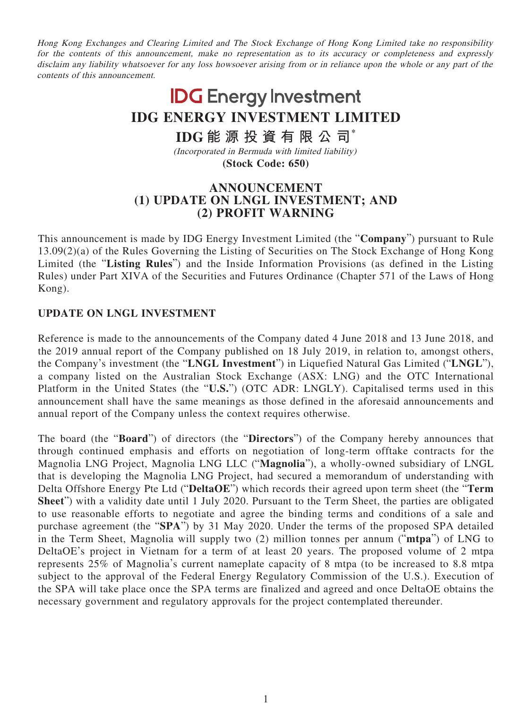Hong Kong Exchanges and Clearing Limited and The Stock Exchange of Hong Kong Limited take no responsibility for the contents of this announcement, make no representation as to its accuracy or completeness and expressly disclaim any liability whatsoever for any loss howsoever arising from or in reliance upon the whole or any part of the contents of this announcement.

## **IDG** Energy Investment **IDG ENERGY INVESTMENT LIMITED IDG 能源投資有限公司\*** (Incorporated in Bermuda with limited liability)

**(Stock Code: 650)**

## **ANNOUNCEMENT (1) UPDATE ON LNGL INVESTMENT; AND (2) PROFIT WARNING**

This announcement is made by IDG Energy Investment Limited (the "**Company**") pursuant to Rule 13.09(2)(a) of the Rules Governing the Listing of Securities on The Stock Exchange of Hong Kong Limited (the "**Listing Rules**") and the Inside Information Provisions (as defined in the Listing Rules) under Part XIVA of the Securities and Futures Ordinance (Chapter 571 of the Laws of Hong Kong).

## **UPDATE ON LNGL INVESTMENT**

Reference is made to the announcements of the Company dated 4 June 2018 and 13 June 2018, and the 2019 annual report of the Company published on 18 July 2019, in relation to, amongst others, the Company's investment (the "**LNGL Investment**") in Liquefied Natural Gas Limited ("**LNGL**"), a company listed on the Australian Stock Exchange (ASX: LNG) and the OTC International Platform in the United States (the "**U.S.**") (OTC ADR: LNGLY). Capitalised terms used in this announcement shall have the same meanings as those defined in the aforesaid announcements and annual report of the Company unless the context requires otherwise.

The board (the "**Board**") of directors (the "**Directors**") of the Company hereby announces that through continued emphasis and efforts on negotiation of long-term offtake contracts for the Magnolia LNG Project, Magnolia LNG LLC ("**Magnolia**"), a wholly-owned subsidiary of LNGL that is developing the Magnolia LNG Project, had secured a memorandum of understanding with Delta Offshore Energy Pte Ltd ("**DeltaOE**") which records their agreed upon term sheet (the "**Term Sheet**") with a validity date until 1 July 2020. Pursuant to the Term Sheet, the parties are obligated to use reasonable efforts to negotiate and agree the binding terms and conditions of a sale and purchase agreement (the "**SPA**") by 31 May 2020. Under the terms of the proposed SPA detailed in the Term Sheet, Magnolia will supply two (2) million tonnes per annum ("**mtpa**") of LNG to DeltaOE's project in Vietnam for a term of at least 20 years. The proposed volume of 2 mtpa represents 25% of Magnolia's current nameplate capacity of 8 mtpa (to be increased to 8.8 mtpa subject to the approval of the Federal Energy Regulatory Commission of the U.S.). Execution of the SPA will take place once the SPA terms are finalized and agreed and once DeltaOE obtains the necessary government and regulatory approvals for the project contemplated thereunder.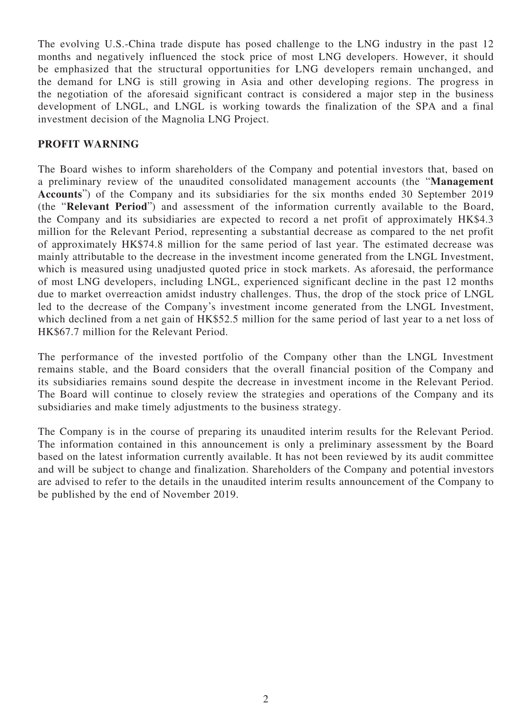The evolving U.S.-China trade dispute has posed challenge to the LNG industry in the past 12 months and negatively influenced the stock price of most LNG developers. However, it should be emphasized that the structural opportunities for LNG developers remain unchanged, and the demand for LNG is still growing in Asia and other developing regions. The progress in the negotiation of the aforesaid significant contract is considered a major step in the business development of LNGL, and LNGL is working towards the finalization of the SPA and a final investment decision of the Magnolia LNG Project.

## **PROFIT WARNING**

The Board wishes to inform shareholders of the Company and potential investors that, based on a preliminary review of the unaudited consolidated management accounts (the "**Management Accounts**") of the Company and its subsidiaries for the six months ended 30 September 2019 (the "**Relevant Period**") and assessment of the information currently available to the Board, the Company and its subsidiaries are expected to record a net profit of approximately HK\$4.3 million for the Relevant Period, representing a substantial decrease as compared to the net profit of approximately HK\$74.8 million for the same period of last year. The estimated decrease was mainly attributable to the decrease in the investment income generated from the LNGL Investment, which is measured using unadjusted quoted price in stock markets. As aforesaid, the performance of most LNG developers, including LNGL, experienced significant decline in the past 12 months due to market overreaction amidst industry challenges. Thus, the drop of the stock price of LNGL led to the decrease of the Company's investment income generated from the LNGL Investment, which declined from a net gain of HK\$52.5 million for the same period of last year to a net loss of HK\$67.7 million for the Relevant Period.

The performance of the invested portfolio of the Company other than the LNGL Investment remains stable, and the Board considers that the overall financial position of the Company and its subsidiaries remains sound despite the decrease in investment income in the Relevant Period. The Board will continue to closely review the strategies and operations of the Company and its subsidiaries and make timely adjustments to the business strategy.

The Company is in the course of preparing its unaudited interim results for the Relevant Period. The information contained in this announcement is only a preliminary assessment by the Board based on the latest information currently available. It has not been reviewed by its audit committee and will be subject to change and finalization. Shareholders of the Company and potential investors are advised to refer to the details in the unaudited interim results announcement of the Company to be published by the end of November 2019.